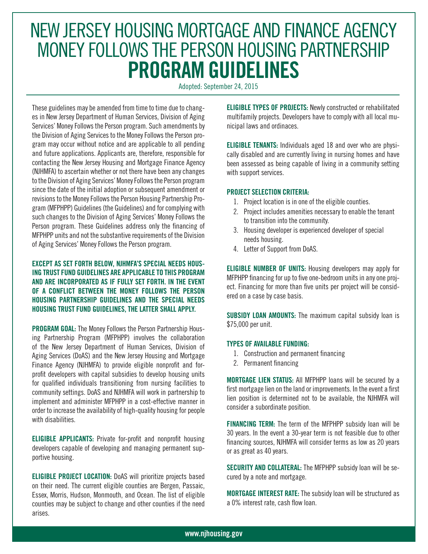## NEW JERSEY HOUSING MORTGAGE AND FINANCE AGENCY MONEY FOLLOWS THE PERSON HOUSING PARTNERSHIP **PROGRAM GUIDELINES**

Adopted: September 24, 2015

These guidelines may be amended from time to time due to changes in New Jersey Department of Human Services, Division of Aging Services' Money Follows the Person program. Such amendments by the Division of Aging Services to the Money Follows the Person program may occur without notice and are applicable to all pending and future applications. Applicants are, therefore, responsible for contacting the New Jersey Housing and Mortgage Finance Agency (NJHMFA) to ascertain whether or not there have been any changes to the Division of Aging Services' Money Follows the Person program since the date of the initial adoption or subsequent amendment or revisions to the Money Follows the Person Housing Partnership Program (MFPHPP) Guidelines (the Guidelines) and for complying with such changes to the Division of Aging Services' Money Follows the Person program. These Guidelines address only the financing of MFPHPP units and not the substantive requirements of the Division of Aging Services' Money Follows the Person program.

**EXCEPT AS SET FORTH BELOW, NJHMFA'S SPECIAL NEEDS HOUS-ING TRUST FUND GUIDELINES ARE APPLICABLE TO THIS PROGRAM AND ARE INCORPORATED AS IF FULLY SET FORTH. IN THE EVENT OF A CONFLICT BETWEEN THE MONEY FOLLOWS THE PERSON HOUSING PARTNERSHIP GUIDELINES AND THE SPECIAL NEEDS HOUSING TRUST FUND GUIDELINES, THE LATTER SHALL APPLY.**

**PROGRAM GOAL:** The Money Follows the Person Partnership Housing Partnership Program (MFPHPP) involves the collaboration of the New Jersey Department of Human Services, Division of Aging Services (DoAS) and the New Jersey Housing and Mortgage Finance Agency (NJHMFA) to provide eligible nonprofit and forprofit developers with capital subsidies to develop housing units for qualified individuals transitioning from nursing facilities to community settings. DoAS and NJHMFA will work in partnership to implement and administer MFPHPP in a cost-effective manner in order to increase the availability of high-quality housing for people with disabilities.

**ELIGIBLE APPLICANTS:** Private for-profit and nonprofit housing developers capable of developing and managing permanent supportive housing.

**ELIGIBLE PROJECT LOCATION:** DoAS will prioritize projects based on their need. The current eligible counties are Bergen, Passaic, Essex, Morris, Hudson, Monmouth, and Ocean. The list of eligible counties may be subject to change and other counties if the need arises.

**ELIGIBLE TYPES OF PROJECTS:** Newly constructed or rehabilitated multifamily projects. Developers have to comply with all local municipal laws and ordinaces.

**ELIGIBLE TENANTS:** Individuals aged 18 and over who are physically disabled and are currently living in nursing homes and have been assessed as being capable of living in a community setting with support services.

## **PROJECT SELECTION CRITERIA:**

- 1. Project location is in one of the eligible counties.
- 2. Project includes amenities necessary to enable the tenant to transition into the community.
- 3. Housing developer is experienced developer of special needs housing.
- 4. Letter of Support from DoAS.

**ELIGIBLE NUMBER OF UNITS:** Housing developers may apply for MFPHPP financing for up to five one-bedroom units in any one project. Financing for more than five units per project will be considered on a case by case basis.

**SUBSIDY LOAN AMOUNTS:** The maximum capital subsidy loan is \$75,000 per unit.

## **TYPES OF AVAILABLE FUNDING:**

- 1. Construction and permanent financing
- 2. Permanent financing

**MORTGAGE LIEN STATUS:** All MFPHPP loans will be secured by a first mortgage lien on the land or improvements. In the event a first lien position is determined not to be available, the NJHMFA will consider a subordinate position.

**FINANCING TERM:** The term of the MFPHPP subsidy loan will be 30 years. In the event a 30-year term is not feasible due to other financing sources, NJHMFA will consider terms as low as 20 years or as great as 40 years.

**SECURITY AND COLLATERAL:** The MFPHPP subsidy loan will be secured by a note and mortgage.

**MORTGAGE INTEREST RATE:** The subsidy loan will be structured as a 0% interest rate, cash flow loan.